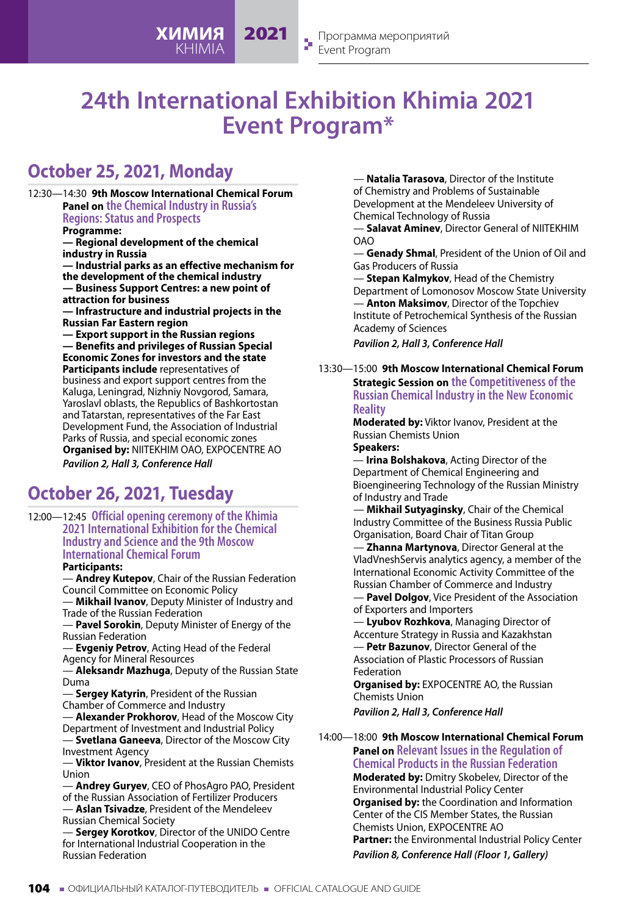# **24th International Exhibition Khimia 2021 Event Program\***

2021

# **October 25, 2021, Monday**

12:30—14:30 **9th Moscow International Chemical Forum Panel on the Chemical Industry in Russia's Regions: Status and Prospects Programme: — Regional development of the chemical industry in Russia — Industrial parks as an effective mechanism for the development of the chemical industry — Business Support Centres: a new point of attraction for business — Infrastructure and industrial projects in the Russian Far Eastern region — Export support in the Russian regions — Benefits and privileges of Russian Special Economic Zones for investors and the state Participants include** representatives of business and export support centres from the Kaluga, Leningrad, Nizhniy Novgorod, Samara, Yaroslavl oblasts, the Republics of Bashkortostan and Tatarstan, representatives of the Far East Development Fund, the Association of Industrial Parks of Russia, and special economic zones **Organised by:** NIITEKHIM OAO, EXPOCENTRE AO *Pavilion 2, Hall 3, Conference Hall*

**ХИМИЯ** KHIMIA

# **October 26, 2021, Tuesday**

12:00—12:45 **Official opening ceremony of the Khimia 2021 International Exhibition for the Chemical Industry and Science and the 9th Moscow International Chemical Forum**

**Participants:**

— **Andrey Kutepov**, Chair of the Russian Federation Council Committee on Economic Policy

— **Mikhail Ivanov**, Deputy Minister of Industry and Trade of the Russian Federation

Pavel Sorokin, Deputy Minister of Energy of the Russian Federation

— **Evgeniy Petrov**, Acting Head of the Federal Agency for Mineral Resources

— **Aleksandr Mazhuga**, Deputy of the Russian State Duma

— **Sergey Katyrin**, President of the Russian Chamber of Commerce and Industry

— **Alexander Prokhorov**, Head of the Moscow City Department of Investment and Industrial Policy

— **Svetlana Ganeeva**, Director of the Moscow City Investment Agency

— **Viktor Ivanov**, President at the Russian Chemists Union

— **Andrey Guryev**, CEO of PhosAgro PAO, President of the Russian Association of Fertilizer Producers — **Aslan Tsivadze**, President of the Mendeleev Russian Chemical Society

**Sergey Korotkov, Director of the UNIDO Centre** for International Industrial Cooperation in the Russian Federation

 — **Natalia Tarasova**, Director of the Institute of Chemistry and Problems of Sustainable Development at the Mendeleev University of Chemical Technology of Russia

**Salavat Aminev**, Director General of NIITEKHIM OAO

— **Genady Shmal**, President of the Union of Oil and Gas Producers of Russia

— **Stepan Kalmykov**, Head of the Chemistry Department of Lomonosov Moscow State University — **Anton Maksimov**, Director of the Topchiev Institute of Petrochemical Synthesis of the Russian Academy of Sciences

*Pavilion 2, Hall 3, Conference Hall*

13:30—15:00 **9th Moscow International Chemical Forum Strategic Session on the Competitiveness of the Russian Chemical Industry in the New Economic Reality**

> **Moderated by:** Viktor Ivanov, President at the Russian Chemists Union

# **Speakers:**

— **Irina Bolshakova**, Acting Director of the Department of Chemical Engineering and Bioengineering Technology of the Russian Ministry of Industry and Trade

 — **Mikhail Sutyaginsky**, Chair of the Chemical Industry Committee of the Business Russia Public Organisation, Board Chair of Titan Group

— **Zhanna Martynova**, Director General at the VladVneshServis analytics agency, a member of the International Economic Activity Committee of the Russian Chamber of Commerce and Industry

— **Pavel Dolgov**, Vice President of the Association of Exporters and Importers

— **Lyubov Rozhkova**, Managing Director of Accenture Strategy in Russia and Kazakhstan — **Petr Bazunov**, Director General of the Association of Plastic Processors of Russian

Federation **Organised by:** EXPOCENTRE AO, the Russian Chemists Union

*Pavilion 2, Hall 3, Conference Hall*

14:00—18:00 **9th Moscow International Chemical Forum Panel on Relevant Issues in the Regulation of** 

**Chemical Products in the Russian Federation Moderated by:** Dmitry Skobelev, Director of the Environmental Industrial Policy Center **Organised by:** the Coordination and Information Center of the CIS Member States, the Russian Chemists Union, EXPOCENTRE AO **Partner:** the Environmental Industrial Policy Center *Pavilion 8, Conference Hall (Floor 1, Gallery)*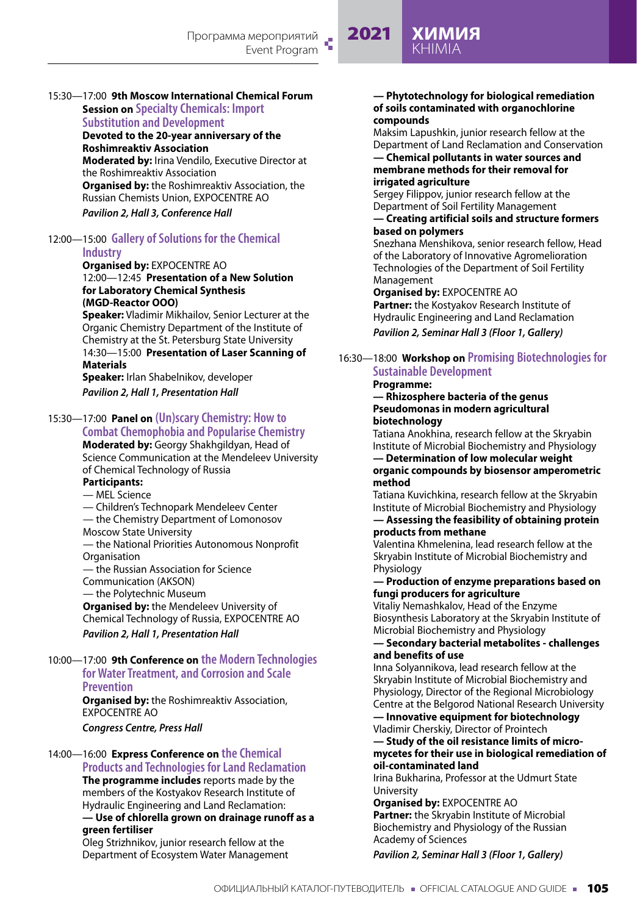# 2021 **ХИМИЯ** KHIMIA

### 15:30—17:00 **9th Moscow International Chemical Forum Session on Specialty Chemicals: Import Substitution and Development**

**Devoted to the 20-year anniversary of the Roshimreaktiv Association**

**Moderated by:** Irina Vendilo, Executive Director at the Roshimreaktiv Association **Organised by:** the Roshimreaktiv Association, the Russian Chemists Union, EXPOCENTRE AO *Pavilion 2, Hall 3, Conference Hall*

# 12:00—15:00 **Gallery of Solutions for the Chemical Industry**

#### **Organised by:** EXPOCENTRE AO 12:00—12:45 **Presentation of a New Solution for Laboratory Chemical Synthesis (MGD-Reactor OOO)**

**Speaker:** Vladimir Mikhailov, Senior Lecturer at the Organic Chemistry Department of the Institute of Chemistry at the St. Petersburg State University 14:30—15:00 **Presentation of Laser Scanning of Materials Speaker:** Irlan Shabelnikov, developer

*Pavilion 2, Hall 1, Presentation Hall*

# 15:30—17:00 **Panel on (Un)scary Chemistry: How to**

**Combat Chemophobia and Popularise Chemistry Moderated by:** Georgy Shakhgildyan, Head of Science Communication at the Mendeleev University of Chemical Technology of Russia **Participants:**

# — MEL Science

- 
- Children's Technopark Mendeleev Center — the Chemistry Department of Lomonosov
- Moscow State University

— the National Priorities Autonomous Nonprofit **Organisation** 

— the Russian Association for Science

Communication (AKSON) — the Polytechnic Museum

**Organised by:** the Mendeleev University of Chemical Technology of Russia, EXPOCENTRE AO *Pavilion 2, Hall 1, Presentation Hall*

## 10:00—17:00 **9th Conference on the Modern Technologies for Water Treatment, and Corrosion and Scale Prevention**

**Organised by:** the Roshimreaktiv Association, EXPOCENTRE AO

*Congress Centre, Press Hall*

# 14:00—16:00 **Express Conference on the Chemical Products and Technologies for Land Reclamation**

**The programme includes** reports made by the members of the Kostyakov Research Institute of Hydraulic Engineering and Land Reclamation:

# **— Use of chlorella grown on drainage runoff as a green fertiliser**

Oleg Strizhnikov, junior research fellow at the Department of Ecosystem Water Management

#### **— Phytotechnology for biological remediation of soils contaminated with organochlorine compounds**

Maksim Lapushkin, junior research fellow at the Department of Land Reclamation and Conservation **— Chemical pollutants in water sources and** 

# **membrane methods for their removal for irrigated agriculture**

Sergey Filippov, junior research fellow at the Department of Soil Fertility Management

## **— Creating artificial soils and structure formers based on polymers**

Snezhana Menshikova, senior research fellow, Head of the Laboratory of Innovative Agromelioration Technologies of the Department of Soil Fertility Management

**Organised by:** EXPOCENTRE AO **Partner:** the Kostyakov Research Institute of Hydraulic Engineering and Land Reclamation

*Pavilion 2, Seminar Hall 3 (Floor 1, Gallery)*

# 16:30—18:00 **Workshop on Promising Biotechnologies for Sustainable Development**

# **Programme:**

#### **— Rhizosphere bacteria of the genus Pseudomonas in modern agricultural biotechnology**

Tatiana Anokhina, research fellow at the Skryabin Institute of Microbial Biochemistry and Physiology

#### **— Determination of low molecular weight organic compounds by biosensor amperometric method**

Tatiana Kuvichkina, research fellow at the Skryabin Institute of Microbial Biochemistry and Physiology **— Assessing the feasibility of obtaining protein** 

# **products from methane**

Valentina Khmelenina, lead research fellow at the Skryabin Institute of Microbial Biochemistry and Physiology

## **— Production of enzyme preparations based on fungi producers for agriculture**

Vitaliy Nemashkalov, Head of the Enzyme Biosynthesis Laboratory at the Skryabin Institute of Microbial Biochemistry and Physiology

#### **— Secondary bacterial metabolites - challenges and benefits of use**

Inna Solyannikova, lead research fellow at the Skryabin Institute of Microbial Biochemistry and Physiology, Director of the Regional Microbiology Centre at the Belgorod National Research University

**— Innovative equipment for biotechnology** Vladimir Cherskiy, Director of Prointech

#### **— Study of the oil resistance limits of micromycetes for their use in biological remediation of oil-contaminated land**

Irina Bukharina, Professor at the Udmurt State University

# **Organised by:** EXPOCENTRE AO

**Partner:** the Skryabin Institute of Microbial Biochemistry and Physiology of the Russian Academy of Sciences

# *Pavilion 2, Seminar Hall 3 (Floor 1, Gallery)*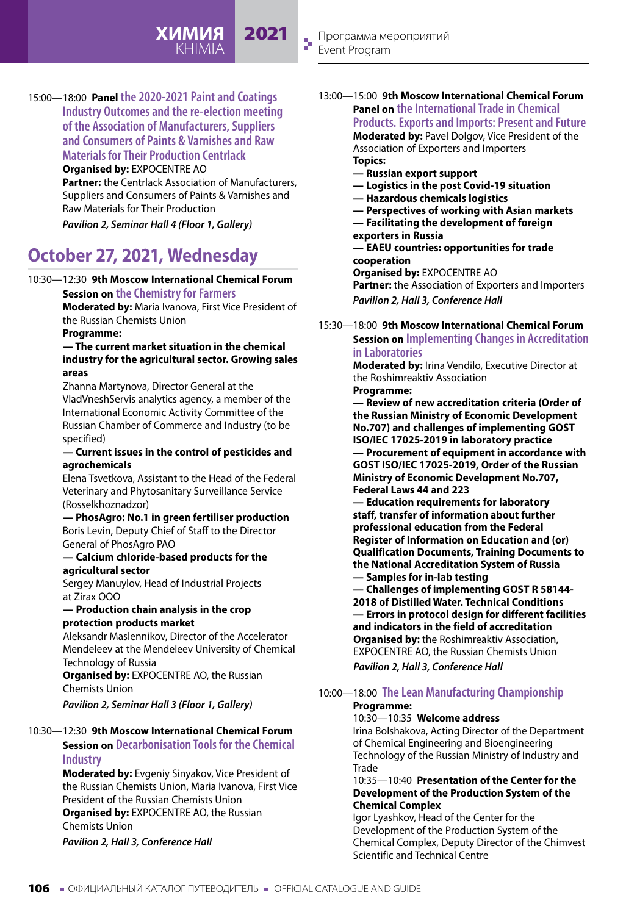15:00—18:00 **Panel the 2020-2021 Paint and Coatings Industry Outcomes and the re-election meeting of the Association of Manufacturers, Suppliers and Consumers of Paints & Varnishes and Raw Materials for Their Production Centrlack**

**Organised by:** EXPOCENTRE AO

**Partner:** the Centrlack Association of Manufacturers, Suppliers and Consumers of Paints & Varnishes and Raw Materials for Their Production

**ХИМИЯ** KHIMIA

2021

*Pavilion 2, Seminar Hall 4 (Floor 1, Gallery)*

# **October 27, 2021, Wednesday**

## 10:30—12:30 **9th Moscow International Chemical Forum Session on the Chemistry for Farmers**

**Moderated by:** Maria Ivanova, First Vice President of the Russian Chemists Union

# **Programme:**

## **— The current market situation in the chemical industry for the agricultural sector. Growing sales areas**

Zhanna Martynova, Director General at the VladVneshServis analytics agency, a member of the International Economic Activity Committee of the Russian Chamber of Commerce and Industry (to be specified)

### **— Current issues in the control of pesticides and agrochemicals**

Elena Tsvetkova, Assistant to the Head of the Federal Veterinary and Phytosanitary Surveillance Service (Rosselkhoznadzor)

**— PhosAgro: No.1 in green fertiliser production** Boris Levin, Deputy Chief of Staff to the Director General of PhosAgro PAO **— Calcium chloride-based products for the** 

# **agricultural sector**

Sergey Manuylov, Head of Industrial Projects at Zirax OOO

### **— Production chain analysis in the crop protection products market**

Aleksandr Maslennikov, Director of the Accelerator Mendeleev at the Mendeleev University of Chemical Technology of Russia

**Organised by:** EXPOCENTRE AO, the Russian Chemists Union

*Pavilion 2, Seminar Hall 3 (Floor 1, Gallery)*

## 10:30—12:30 **9th Moscow International Chemical Forum**

# **Session on Decarbonisation Tools for the Chemical Industry**

**Moderated by:** Evgeniy Sinyakov, Vice President of the Russian Chemists Union, Maria Ivanova, First Vice President of the Russian Chemists Union **Organised by:** EXPOCENTRE AO, the Russian Chemists Union

*Pavilion 2, Hall 3, Conference Hall*

13:00—15:00 **9th Moscow International Chemical Forum Panel on the International Trade in Chemical Products. Exports and Imports: Present and Future Moderated by:** Pavel Dolgov, Vice President of the Association of Exporters and Importers

> **Topics: — Russian export support**

- **Logistics in the post Covid-19 situation**
- **Hazardous chemicals logistics**
- 
- **Perspectives of working with Asian markets — Facilitating the development of foreign**
- **exporters in Russia**

# **— EAEU countries: opportunities for trade cooperation**

**Organised by:** EXPOCENTRE AO

**Partner:** the Association of Exporters and Importers *Pavilion 2, Hall 3, Conference Hall*

15:30—18:00 **9th Moscow International Chemical Forum Session on Implementing Changes in Accreditation in Laboratories**

> **Moderated by:** Irina Vendilo, Executive Director at the Roshimreaktiv Association **Programme:**

**— Review of new accreditation criteria (Order of the Russian Ministry of Economic Development No.707) and challenges of implementing GOST ISO/IEC 17025-2019 in laboratory practice — Procurement of equipment in accordance with GOST ISO/IEC 17025-2019, Order of the Russian Ministry of Economic Development No.707,** 

**Federal Laws 44 and 223**

**— Education requirements for laboratory staff, transfer of information about further professional education from the Federal Register of Information on Education and (or) Qualification Documents, Training Documents to the National Accreditation System of Russia — Samples for in-lab testing**

**— Challenges of implementing GOST R 58144- 2018 of Distilled Water. Technical Conditions — Errors in protocol design for different facilities and indicators in the field of accreditation Organised by:** the Roshimreaktiv Association, EXPOCENTRE AO, the Russian Chemists Union

*Pavilion 2, Hall 3, Conference Hall*

# 10:00—18:00 **The Lean Manufacturing Championship**

# **Programme:**

# 10:30—10:35 **Welcome address**

Irina Bolshakova, Acting Director of the Department of Chemical Engineering and Bioengineering Technology of the Russian Ministry of Industry and Trade

#### 10:35—10:40 **Presentation of the Center for the Development of the Production System of the Chemical Complex**

Igor Lyashkov, Head of the Center for the Development of the Production System of the Chemical Complex, Deputy Director of the Chimvest Scientific and Technical Centre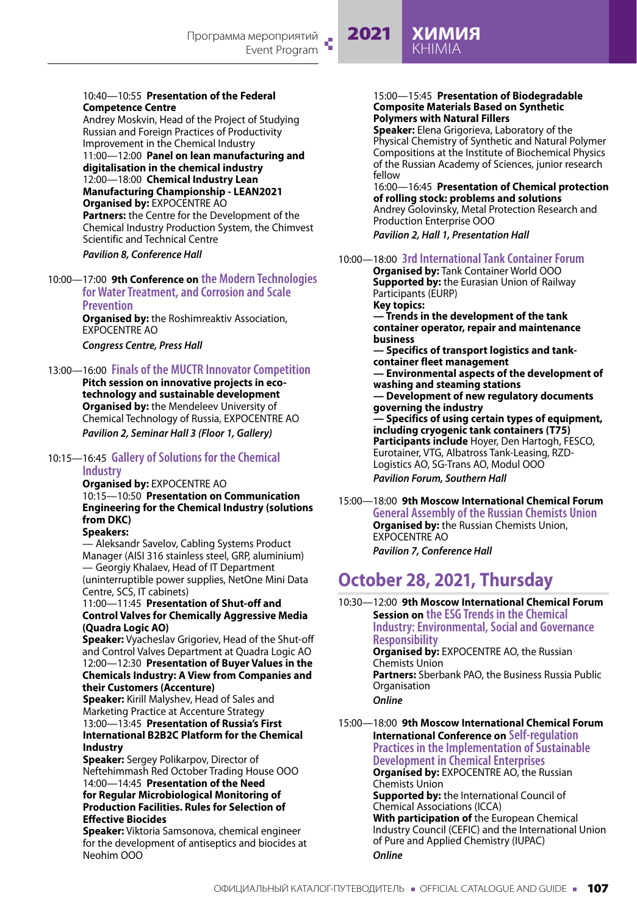# 2021 **ХИМИЯ** KHIMIA

#### 10:40—10:55 **Presentation of the Federal Competence Centre**

Andrey Moskvin, Head of the Project of Studying Russian and Foreign Practices of Productivity Improvement in the Chemical Industry 11:00—12:00 **Panel on lean manufacturing and digitalisation in the chemical industry** 12:00—18:00 **Chemical Industry Lean Manufacturing Championship - LEAN2021 Organised by:** EXPOCENTRE AO **Partners:** the Centre for the Development of the Chemical Industry Production System, the Chimvest Scientific and Technical Centre

*Pavilion 8, Conference Hall*

# 10:00—17:00 **9th Conference on the Modern Technologies for Water Treatment, and Corrosion and Scale Prevention**

**Organised by:** the Roshimreaktiv Association, EXPOCENTRE AO

*Congress Centre, Press Hall*

# 13:00—16:00 **Finals of the MUCTR Innovator Competition**

**Pitch session on innovative projects in ecotechnology and sustainable development Organised by:** the Mendeleev University of Chemical Technology of Russia, EXPOCENTRE AO *Pavilion 2, Seminar Hall 3 (Floor 1, Gallery)*

### 10:15—16:45 **Gallery of Solutions for the Chemical Industry**

**Organised by:** EXPOCENTRE AO 10:15—10:50 **Presentation on Communication Engineering for the Chemical Industry (solutions from DKC) Speakers:**

— Aleksandr Savelov, Cabling Systems Product Manager (AISI 316 stainless steel, GRP, aluminium) — Georgiy Khalaev, Head of IT Department (uninterruptible power supplies, NetOne Mini Data Centre, SCS, IT cabinets)

11:00—11:45 **Presentation of Shut-off and Control Valves for Chemically Aggressive Media (Quadra Logic AO)**

**Speaker:** Vyacheslav Grigoriev, Head of the Shut-off and Control Valves Department at Quadra Logic AO 12:00—12:30 **Presentation of Buyer Values in the Chemicals Industry: A View from Companies and their Customers (Accenture)**

**Speaker:** Kirill Malyshev, Head of Sales and Marketing Practice at Accenture Strategy 13:00—13:45 **Presentation of Russia's First** 

**International B2B2C Platform for the Chemical Industry**

**Speaker:** Sergey Polikarpov, Director of Neftehimmash Red October Trading House OOO 14:00—14:45 **Presentation of the Need for Regular Microbiological Monitoring of** 

# **Production Facilities. Rules for Selection of Effective Biocides**

**Speaker:** Viktoria Samsonova, chemical engineer for the development of antiseptics and biocides at Neohim OOO

#### 15:00—15:45 **Presentation of Biodegradable Composite Materials Based on Synthetic Polymers with Natural Fillers**

**Speaker:** Elena Grigorieva, Laboratory of the Physical Chemistry of Synthetic and Natural Polymer Compositions at the Institute of Biochemical Physics of the Russian Academy of Sciences, junior research fellow

16:00—16:45 **Presentation of Chemical protection of rolling stock: problems and solutions** Andrey Golovinsky, Metal Protection Research and Production Enterprise OOO *Pavilion 2, Hall 1, Presentation Hall*

# 10:00—18:00 **3rd International Tank Container Forum**

**Organised by:** Tank Container World OOO **Supported by:** the Eurasian Union of Railway Participants (EURP)

**Key topics:**

**— Trends in the development of the tank container operator, repair and maintenance business**

**— Specifics of transport logistics and tankcontainer fleet management**

**— Environmental aspects of the development of washing and steaming stations**

**— Development of new regulatory documents governing the industry**

**— Specifics of using certain types of equipment, including cryogenic tank containers (T75) Participants include** Hoyer, Den Hartogh, FESCO, Eurotainer, VTG, Albatross Tank-Leasing, RZD-Logistics AO, SG-Trans AO, Modul OOO *Pavilion Forum, Southern Hall*

15:00—18:00 **9th Moscow International Chemical Forum General Assembly of the Russian Chemists Union Organised by:** the Russian Chemists Union, EXPOCENTRE AO *Pavilion 7, Conference Hall*

# **October 28, 2021, Thursday**

10:30—12:00 **9th Moscow International Chemical Forum Session on the ESG Trends in the Chemical Industry: Environmental, Social and Governance Responsibility Organised by:** EXPOCENTRE AO, the Russian Chemists Union **Partners:** Sberbank PAO, the Business Russia Public **Organisation** *Online*

15:00—18:00 **9th Moscow International Chemical Forum International Conference on Self-regulation Practices in the Implementation of Sustainable Development in Chemical Enterprises Organised by: EXPOCENTRE AO**, the Russian Chemists Union **Supported by:** the International Council of Chemical Associations (ICCA) **With participation of** the European Chemical Industry Council (CEFIC) and the International Union of Pure and Applied Chemistry (IUPAC)